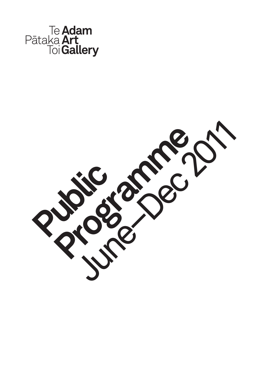

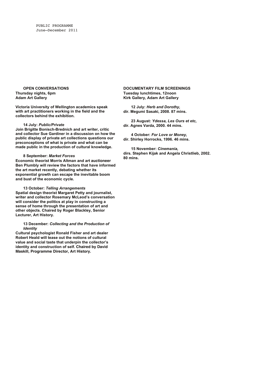PUBLIC PROGRAMME June–December 2011

**OPEN CONVERSATIONS Thursday nights, 6pm Adam Art Gallery**

**Victoria University of Wellington academics speak with art practitioners working in the field and the collectors behind the exhibition.**

### **14 July:** *Public/Private*

**Join Brigitte Bonisch-Brednich and art writer, critic and collector Sue Gardiner in a discussion on how the public display of private art collections questions our preconceptions of what is private and what can be made public in the production of cultural knowledge.**

## **8 September:** *Market Forces*

**Economic theorist Morris Altman and art auctioneer Ben Plumbly will review the factors that have informed the art market recently, debating whether its exponential growth can escape the inevitable boom and bust of the economic cycle.**

# **13 October:** *Telling Arrangements*

**Spatial design theorist Margaret Petty and journalist, writer and collector Rosemary McLeod's conversation will consider the politics at play in constructing a sense of home through the presentation of art and other objects. Chaired by Roger Blackley, Senior Lecturer, Art History.**

### **13 December:** *Collecting and the Production of Identity*

**Cultural psychologist Ronald Fisher and art dealer Robert Heald will tease out the notions of cultural value and social taste that underpin the collector's identity and construction of self. Chaired by David Maskill, Programme Director, Art History.**

### **DOCUMENTARY FILM SCREENINGS Tuesday lunchtimes, 12noon Kirk Gallery, Adam Art Gallery**

**12 July:** *Herb and Dorothy,* **dir. Megumi Sasaki, 2008. 87 mins.** 

**23 August:** *Ydessa, Les Ours et etc,* **dir. Agnes Varda, 2000. 44 mins.** 

**4 October:** *For Love or Money,* **dir. Shirley Horrocks, 1996. 46 mins.** 

**15 November:** *Cinemania,* **dirs. Stephen Kijak and Angela Christlieb, 2002. 80 mins.**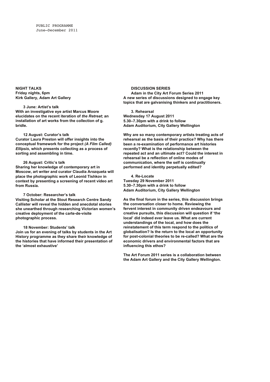**NIGHT TALKS Friday nights, 6pm Kirk Gallery, Adam Art Gallery**

### **3 June: Artist's talk**

**With an investigative eye artist Marcus Moore elucidates on the recent iteration of** *the Retreat***; an installation of art works from the collection of g. bridle.**

#### **12 August: Curator's talk**

**Curator Laura Preston will offer insights into the conceptual framework for the project** *(A Film Called) Ellipsis***, which presents collecting as a process of sorting and assembling in time.**

## **26 August: Critic's talk**

**Sharing her knowledge of contemporary art in Moscow, art writer and curator Claudia Arozqueta will place the photographic work of Leonid Tishkov in context by presenting a screening of recent video art from Russia.**

#### **7 October: Researcher's talk**

**Visiting Scholar at the Stout Research Centre Sandy Callister will reveal the hidden and anecdotal stories she unearthed through researching Victorian women's creative deployment of the carte-de-visite photographic process.**

#### **18 November: Students' talk**

**Join us for an evening of talks by students in the Art History programme as they share their knowledge of the histories that have informed their presentation of the 'almost exhaustive'**

## **DISCUSSION SERIES**

**Adam in the City Art Forum Series 2011 A new series of discussions designed to engage key topics that are galvanising thinkers and practitioners.**

**3. Rehearsal Wednesday 17 August 2011 5.30–7.30pm with a drink to follow Adam Auditorium, City Gallery Wellington**

**Why are so many contemporary artists treating acts of rehearsal as the basis of their practice? Why has there been a re-examination of performance art histories recently? What is the relationship between the repeated act and an ultimate act? Could the interest in rehearsal be a reflection of online modes of communication, where the self is continually performed and identity perpetually edited?**

**4. Re-Locate Tuesday 29 November 2011 5.30–7.30pm with a drink to follow Adam Auditorium, City Gallery Wellington**

**As the final forum in the series, this discussion brings the conversation closer to home. Reviewing the fervent interest in community driven endeavours and creative pursuits, this discussion will question if 'the local' did indeed ever leave us. What are current understandings of the local, and how does the reinstatement of this term respond to the politics of globalisation? Is the return to the local an opportunity for post-colonial theories to be re-called? What are the economic drivers and environmental factors that are influencing this ethos?**

**The Art Forum 2011 series is a collaboration between the Adam Art Gallery and the City Gallery Wellington.**